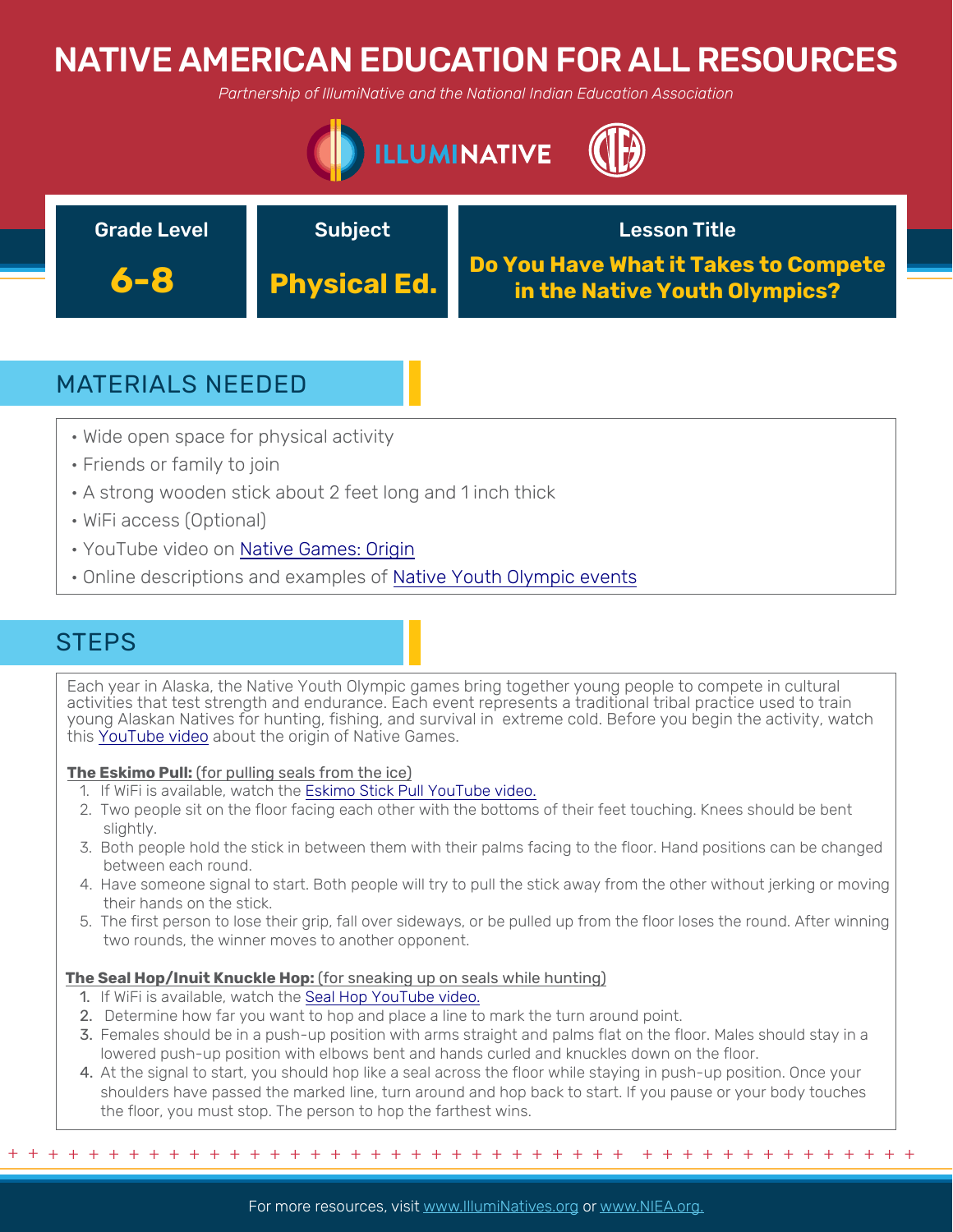# NATIVE AMERICAN EDUCATION FOR ALL RESOURCES

*Partnership of IllumiNative and the National Indian Education Association*





## MATERIALS NEEDED

- Wide open space for physical activity
- Friends or family to join
- A strong wooden stick about 2 feet long and 1 inch thick
- WiFi access (Optional)
- YouTube video on [Native Games: Origin](https://youtu.be/TvpAREkxGlg)
- Online descriptions and examples of [Native Youth Olympic events](https://citci.org/partnerships-events/nyo-games/competitive-events/)

## **STEPS**

Each year in Alaska, the Native Youth Olympic games bring together young people to compete in cultural activities that test strength and endurance. Each event represents a traditional tribal practice used to train young Alaskan Natives for hunting, fishing, and survival in extreme cold. Before you begin the activity, watch this [YouTube video](https://youtu.be/TvpAREkxGlg) about the origin of Native Games.

### **The Eskimo Pull:** (for pulling seals from the ice)

- 1. If WiFi is available, watch the [Eskimo Stick Pull YouTube video.](https://www.youtube.com/watch?v=v1kl9mEuEAE&feature=youtu.be)
- 2. Two people sit on the floor facing each other with the bottoms of their feet touching. Knees should be bent slightly.
- 3. Both people hold the stick in between them with their palms facing to the floor. Hand positions can be changed between each round.
- 4. Have someone signal to start. Both people will try to pull the stick away from the other without jerking or moving their hands on the stick.
- 5. The first person to lose their grip, fall over sideways, or be pulled up from the floor loses the round. After winning two rounds, the winner moves to another opponent.

### **The Seal Hop/Inuit Knuckle Hop:** (for sneaking up on seals while hunting)

- 1. If WiFi is available, watch the [Seal Hop YouTube video.](https://www.youtube.com/watch?time_continue=2&v=ffc4F1eWRYE&feature=emb_logo)
- 2. Determine how far you want to hop and place a line to mark the turn around point.
- 3. Females should be in a push-up position with arms straight and palms flat on the floor. Males should stay in a lowered push-up position with elbows bent and hands curled and knuckles down on the floor.
- 4. At the signal to start, you should hop like a seal across the floor while staying in push-up position. Once your shoulders have passed the marked line, turn around and hop back to start. If you pause or your body touches the floor, you must stop. The person to hop the farthest wins.

+ + + + + + + + + + + + + + + + + + + + + + + + + + + + + + + + + + + + + + + + + + + + + +